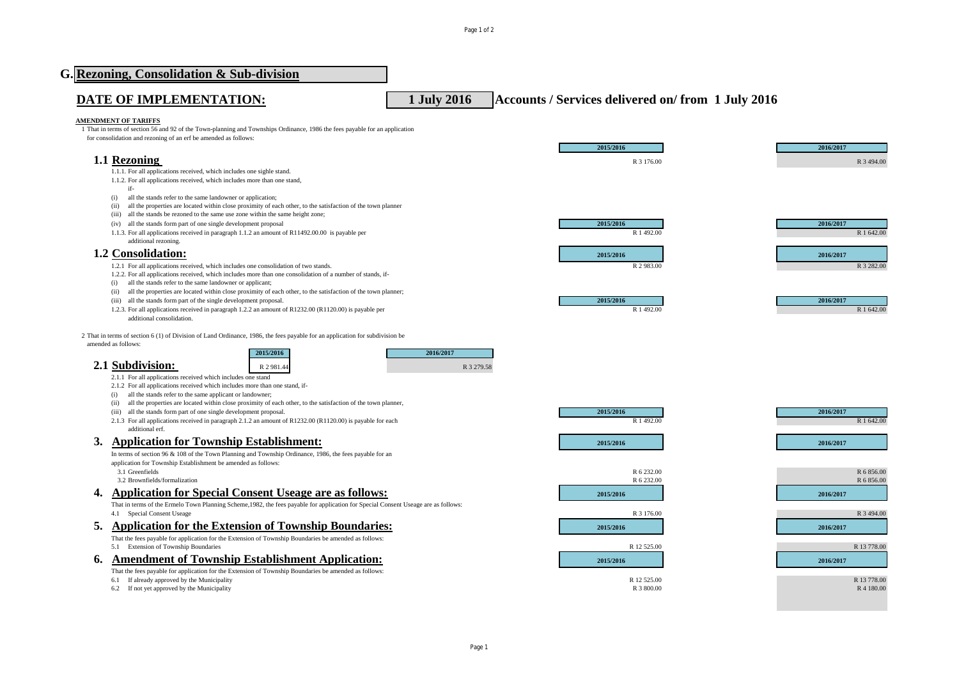|    | G. Rezoning, Consolidation & Sub-division                                                                                                                                                           |             |                                                   |             |
|----|-----------------------------------------------------------------------------------------------------------------------------------------------------------------------------------------------------|-------------|---------------------------------------------------|-------------|
|    | DATE OF IMPLEMENTATION:                                                                                                                                                                             | 1 July 2016 | Accounts / Services delivered on/from 1 July 2016 |             |
|    | <b>AMENDMENT OF TARIFFS</b>                                                                                                                                                                         |             |                                                   |             |
|    | 1 That in terms of section 56 and 92 of the Town-planning and Townships Ordinance, 1986 the fees payable for an application<br>for consolidation and rezoning of an erf be amended as follows:      |             |                                                   |             |
|    |                                                                                                                                                                                                     |             | 2015/2016                                         | 2016/2017   |
|    | 1.1 Rezoning                                                                                                                                                                                        |             | R 3 176.00                                        | R 3 494.00  |
|    | 1.1.1. For all applications received, which includes one sighle stand.                                                                                                                              |             |                                                   |             |
|    | 1.1.2. For all applications received, which includes more than one stand,<br>if-                                                                                                                    |             |                                                   |             |
|    | all the stands refer to the same landowner or application;<br>(i)                                                                                                                                   |             |                                                   |             |
|    | all the properties are located within close proximity of each other, to the satisfaction of the town planner<br>(ii)                                                                                |             |                                                   |             |
|    | all the stands be rezoned to the same use zone within the same height zone;<br>(iii)<br>all the stands form part of one single development proposal<br>(iv)                                         |             | 2015/2016                                         | 2016/2017   |
|    | 1.1.3. For all applications received in paragraph 1.1.2 an amount of R11492.00.00 is payable per                                                                                                    |             | R 1 492.00                                        | R 1 642.00  |
|    | additional rezoning.                                                                                                                                                                                |             |                                                   |             |
|    | 1.2 Consolidation:                                                                                                                                                                                  |             | 2015/2016                                         | 2016/2017   |
|    | 1.2.1 For all applications received, which includes one consolidation of two stands.<br>1.2.2. For all applications received, which includes more than one consolidation of a number of stands, if- |             | R 2 983.00                                        | R 3 282.00  |
|    | all the stands refer to the same landowner or applicant;<br>(i)                                                                                                                                     |             |                                                   |             |
|    | (ii) all the properties are located within close proximity of each other, to the satisfaction of the town planner;<br>(iii) all the stands form part of the single development proposal.            |             | 2015/2016                                         | 2016/2017   |
|    | 1.2.3. For all applications received in paragraph 1.2.2 an amount of R1232.00 (R1120.00) is payable per                                                                                             |             | R 1 492.00                                        | R 1 642.00  |
|    | additional consolidation.                                                                                                                                                                           |             |                                                   |             |
|    | 2 That in terms of section 6 (1) of Division of Land Ordinance, 1986, the fees payable for an application for subdivision be                                                                        |             |                                                   |             |
|    | amended as follows:                                                                                                                                                                                 | 2016/2017   |                                                   |             |
|    | 2015/2016                                                                                                                                                                                           |             |                                                   |             |
|    | 2.1 Subdivision:<br>R 2 981.44                                                                                                                                                                      | R 3 279.58  |                                                   |             |
|    | 2.1.1 For all applications received which includes one stand<br>2.1.2 For all applications received which includes more than one stand, if-                                                         |             |                                                   |             |
|    | all the stands refer to the same applicant or landowner;<br>(i)                                                                                                                                     |             |                                                   |             |
|    | all the properties are located within close proximity of each other, to the satisfaction of the town planner,<br>(ii)<br>(iii) all the stands form part of one single development proposal.         |             | 2015/2016                                         | 2016/2017   |
|    | 2.1.3 For all applications received in paragraph 2.1.2 an amount of R1232.00 (R1120.00) is payable for each                                                                                         |             | R 1 492.00                                        | R 1 642.00  |
|    | additional erf.                                                                                                                                                                                     |             |                                                   |             |
| 3. | <b>Application for Township Establishment:</b>                                                                                                                                                      |             | 2015/2016                                         | 2016/2017   |
|    | In terms of section 96 & 108 of the Town Planning and Township Ordinance, 1986, the fees payable for an<br>application for Township Establishment be amended as follows:                            |             |                                                   |             |
|    | 3.1 Greenfields                                                                                                                                                                                     |             | R 6 232.00                                        | R 6 856.00  |
|    | 3.2 Brownfields/formalization                                                                                                                                                                       |             | R 6 232.00                                        | R 6 856.00  |
| 4. | <b>Application for Special Consent Useage are as follows:</b>                                                                                                                                       |             | 2015/2016                                         | 2016/2017   |
|    | That in terms of the Ermelo Town Planning Scheme, 1982, the fees payable for application for Special Consent Useage are as follows:                                                                 |             |                                                   |             |
|    | 4.1 Special Consent Useage                                                                                                                                                                          |             | R 3 176.00                                        | R 3 494.00  |
| 5. | <b>Application for the Extension of Township Boundaries:</b>                                                                                                                                        |             | 2015/2016                                         | 2016/2017   |
|    | That the fees payable for application for the Extension of Township Boundaries be amended as follows:<br>5.1 Extension of Township Boundaries                                                       |             | R 12 525.00                                       | R 13 778.00 |
| 6. | <b>Amendment of Township Establishment Application:</b>                                                                                                                                             |             | 2015/2016                                         | 2016/2017   |
|    | That the fees payable for application for the Extension of Township Boundaries be amended as follows:                                                                                               |             |                                                   |             |
|    | 6.1 If already approved by the Municipality                                                                                                                                                         |             | R 12 525.00                                       | R 13 778.00 |
|    | 6.2 If not yet approved by the Municipality                                                                                                                                                         |             | R 3 800.00                                        | R 4 180.00  |
|    |                                                                                                                                                                                                     |             |                                                   |             |